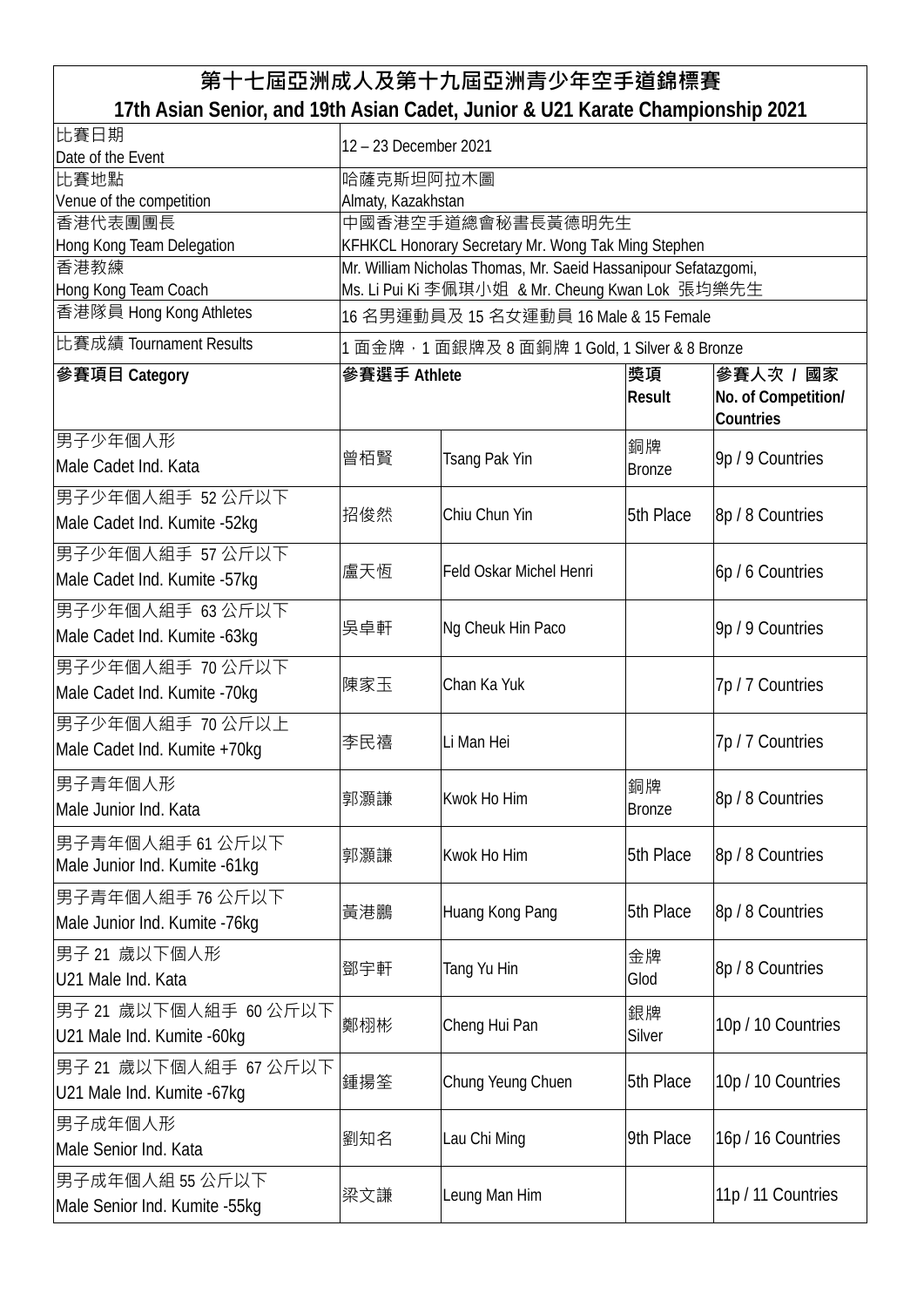## **第十七屆亞洲成人及第十九屆亞洲青少年空手道錦標賽 17th Asian Senior, and 19th Asian Cadet, Junior & U21 Karate Championship 2021**

| 比賽日期<br>Date of the Event                             | 12 - 23 December 2021                                                                                              |                         |                     |                                               |  |
|-------------------------------------------------------|--------------------------------------------------------------------------------------------------------------------|-------------------------|---------------------|-----------------------------------------------|--|
| 比賽地點                                                  | 哈薩克斯坦阿拉木圖                                                                                                          |                         |                     |                                               |  |
| Venue of the competition                              | Almaty, Kazakhstan                                                                                                 |                         |                     |                                               |  |
| 香港代表團團長                                               | 中國香港空手道總會秘書長黃德明先生                                                                                                  |                         |                     |                                               |  |
| Hong Kong Team Delegation<br>香港教練                     | KFHKCL Honorary Secretary Mr. Wong Tak Ming Stephen                                                                |                         |                     |                                               |  |
| Hong Kong Team Coach                                  | Mr. William Nicholas Thomas, Mr. Saeid Hassanipour Sefatazgomi,<br>Ms. Li Pui Ki 李佩琪小姐 & Mr. Cheung Kwan Lok 張均樂先生 |                         |                     |                                               |  |
| 香港隊員 Hong Kong Athletes                               | 16 名男運動員及 15 名女運動員 16 Male & 15 Female                                                                             |                         |                     |                                               |  |
| 比賽成績 Tournament Results                               | 1 面金牌 · 1 面銀牌及 8 面銅牌 1 Gold, 1 Silver & 8 Bronze                                                                   |                         |                     |                                               |  |
| 參賽項目 Category                                         | 參賽選手 Athlete                                                                                                       |                         | 獎項<br><b>Result</b> | 參賽人次 / 國家<br>No. of Competition/<br>Countries |  |
| 男子少年個人形<br>Male Cadet Ind. Kata                       | 曾栢賢                                                                                                                | Tsang Pak Yin           | 銅牌<br><b>Bronze</b> | 9p / 9 Countries                              |  |
| 男子少年個人組手 52 公斤以下<br>Male Cadet Ind. Kumite -52kg      | 招俊然                                                                                                                | Chiu Chun Yin           | 5th Place           | 8p / 8 Countries                              |  |
| 男子少年個人組手 57 公斤以下<br>Male Cadet Ind. Kumite -57kg      | 盧天恆                                                                                                                | Feld Oskar Michel Henri |                     | 6p / 6 Countries                              |  |
| 男子少年個人組手 63公斤以下<br>Male Cadet Ind. Kumite - 63kg      | 吳卓軒                                                                                                                | Ng Cheuk Hin Paco       |                     | 9p / 9 Countries                              |  |
| 男子少年個人組手 70 公斤以下<br>Male Cadet Ind. Kumite -70kg      | 陳家玉                                                                                                                | Chan Ka Yuk             |                     | 7p / 7 Countries                              |  |
| 男子少年個人組手 70 公斤以上<br>Male Cadet Ind. Kumite +70kg      | 李民禧                                                                                                                | Li Man Hei              |                     | 7p / 7 Countries                              |  |
| 男子青年個人形<br>Male Junior Ind. Kata                      | 郭灝謙                                                                                                                | Kwok Ho Him             | 銅牌<br><b>Bronze</b> | 8p / 8 Countries                              |  |
| 男子青年個人組手 61 公斤以下<br>Male Junior Ind. Kumite -61kg     | 郭灝謙                                                                                                                | Kwok Ho Him             | 5th Place           | 8p / 8 Countries                              |  |
| 男子青年個人組手 76 公斤以下<br>Male Junior Ind. Kumite -76kg     | 黃港鵬                                                                                                                | Huang Kong Pang         | 5th Place           | 8p / 8 Countries                              |  |
| 男子 21 歲以下個人形<br>U21 Male Ind. Kata                    | 鄧宇軒                                                                                                                | Tang Yu Hin             | 金牌<br>Glod          | 8p / 8 Countries                              |  |
| 男子 21 歲以下個人組手 60 公斤以下<br>U21 Male Ind. Kumite -60kg   | 鄭栩彬                                                                                                                | Cheng Hui Pan           | 銀牌<br>Silver        | 10p / 10 Countries                            |  |
| 男子 21 歳以下個人組手 67 公斤以下<br>U21 Male Ind. Kumite - 67 kg | 鍾揚筌                                                                                                                | Chung Yeung Chuen       | 5th Place           | 10p / 10 Countries                            |  |
| 男子成年個人形<br>Male Senior Ind. Kata                      | 劉知名                                                                                                                | Lau Chi Ming            | 9th Place           | 16p / 16 Countries                            |  |
| 男子成年個人組 55 公斤以下<br>Male Senior Ind. Kumite -55kg      | 梁文謙                                                                                                                | Leung Man Him           |                     | 11p / 11 Countries                            |  |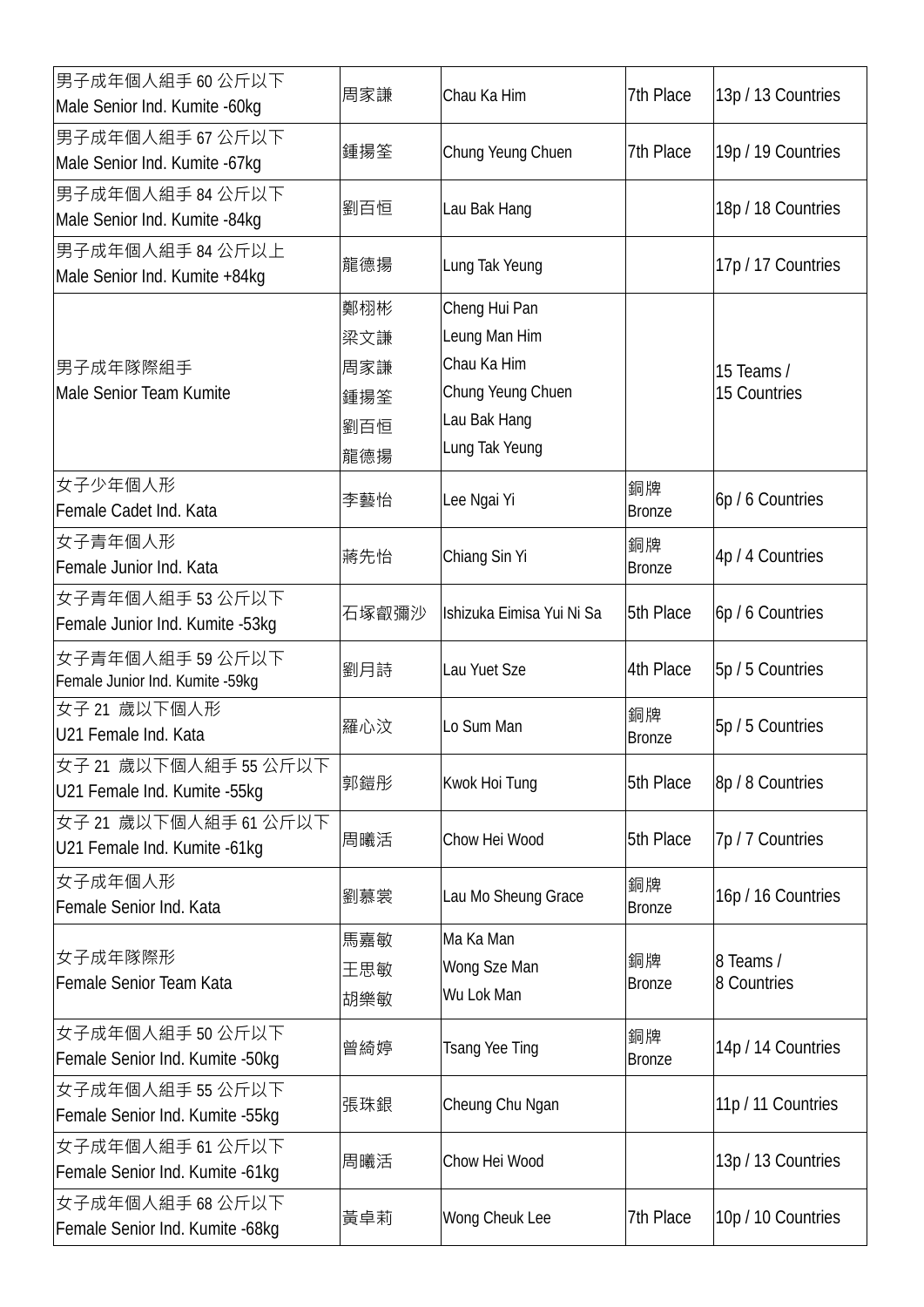| 男子成年個人組手 60 公斤以下<br>Male Senior Ind. Kumite - 60kg    | 周家謙                                    | Chau Ka Him                                                                                          | 7th Place           | 13p / 13 Countries         |
|-------------------------------------------------------|----------------------------------------|------------------------------------------------------------------------------------------------------|---------------------|----------------------------|
| 男子成年個人組手 67 公斤以下<br>Male Senior Ind. Kumite - 67kg    | 鍾揚筌                                    | Chung Yeung Chuen                                                                                    | 7th Place           | 19p / 19 Countries         |
| 男子成年個人組手 84 公斤以下<br>Male Senior Ind. Kumite -84kg     | 劉百恒                                    | Lau Bak Hang                                                                                         |                     | 18p / 18 Countries         |
| 男子成年個人組手 84 公斤以上<br>Male Senior Ind. Kumite +84kg     | 龍德揚                                    | Lung Tak Yeung                                                                                       |                     | 17p / 17 Countries         |
| 男子成年隊際組手<br>Male Senior Team Kumite                   | 鄭栩彬<br>梁文謙<br>周家謙<br>鍾揚筌<br>劉百恒<br>龍德揚 | Cheng Hui Pan<br>Leung Man Him<br>Chau Ka Him<br>Chung Yeung Chuen<br>Lau Bak Hang<br>Lung Tak Yeung |                     | 15 Teams /<br>15 Countries |
| 女子少年個人形<br>Female Cadet Ind. Kata                     | 李藝怡                                    | Lee Ngai Yi                                                                                          | 銅牌<br><b>Bronze</b> | 6p / 6 Countries           |
| 女子青年個人形<br>Female Junior Ind. Kata                    | 蔣先怡                                    | Chiang Sin Yi                                                                                        | 銅牌<br><b>Bronze</b> | 4p / 4 Countries           |
| 女子青年個人組手 53 公斤以下<br>Female Junior Ind. Kumite -53kg   | 石塚叡彌沙                                  | Ishizuka Eimisa Yui Ni Sa                                                                            | 5th Place           | 6p / 6 Countries           |
| 女子青年個人組手 59 公斤以下<br>Female Junior Ind. Kumite -59kg   | 劉月詩                                    | Lau Yuet Sze                                                                                         | 4th Place           | 5p / 5 Countries           |
| 女子 21 歲以下個人形<br>U21 Female Ind. Kata                  | 羅心汶                                    | Lo Sum Man                                                                                           | 銅牌<br><b>Bronze</b> | 5p / 5 Countries           |
| 女子 21 歳以下個人組手 55 公斤以下<br>U21 Female Ind. Kumite -55kg | 郭鎧彤                                    | Kwok Hoi Tung                                                                                        | 5th Place           | 8p / 8 Countries           |
| 女子 21 歳以下個人組手 61 公斤以下<br>U21 Female Ind. Kumite -61kg | 周曦活                                    | Chow Hei Wood                                                                                        | 5th Place           | 7p / 7 Countries           |
| 女子成年個人形<br>Female Senior Ind. Kata                    | 劉慕裳                                    | Lau Mo Sheung Grace                                                                                  | 銅牌<br><b>Bronze</b> | 16p / 16 Countries         |
| 女子成年隊際形<br>Female Senior Team Kata                    | 馬嘉敏<br>王思敏<br>胡樂敏                      | Ma Ka Man<br>Wong Sze Man<br>Wu Lok Man                                                              | 銅牌<br><b>Bronze</b> | 8 Teams /<br>8 Countries   |
| 女子成年個人組手 50 公斤以下<br>Female Senior Ind. Kumite -50kg   | 曾綺婷                                    | <b>Tsang Yee Ting</b>                                                                                | 銅牌<br><b>Bronze</b> | 14p / 14 Countries         |
| 女子成年個人組手 55 公斤以下<br>Female Senior Ind. Kumite -55kg   | 張珠銀                                    | Cheung Chu Ngan                                                                                      |                     | 11p / 11 Countries         |
| 女子成年個人組手 61 公斤以下<br>Female Senior Ind. Kumite -61kg   | 周曦活                                    | Chow Hei Wood                                                                                        |                     | 13p / 13 Countries         |
| 女子成年個人組手 68 公斤以下<br>Female Senior Ind. Kumite -68kg   | 黃卓莉                                    | Wong Cheuk Lee                                                                                       | 7th Place           | 10p / 10 Countries         |